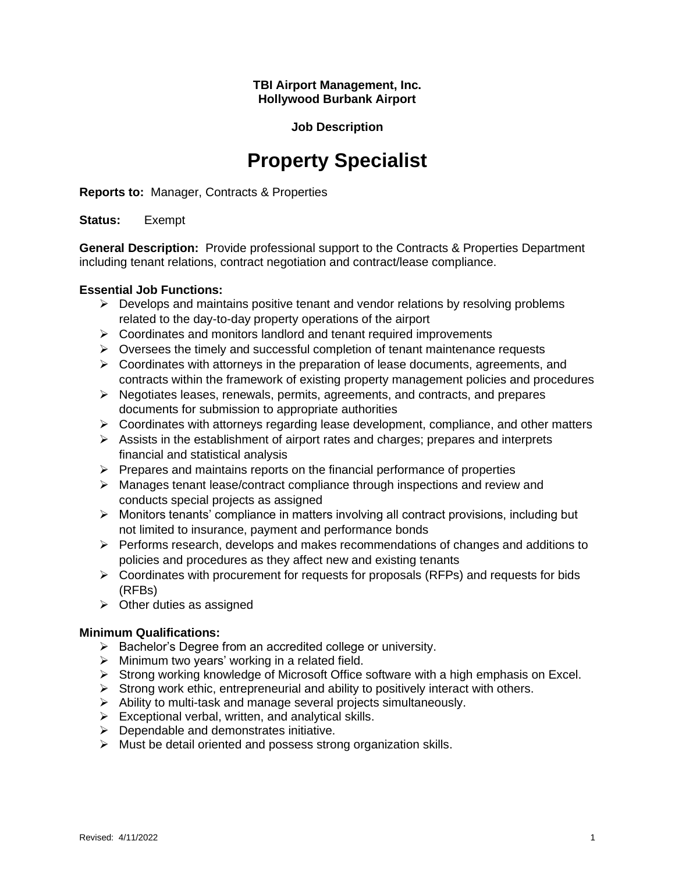#### **TBI Airport Management, Inc. Hollywood Burbank Airport**

## **Job Description**

# **Property Specialist**

**Reports to:** Manager, Contracts & Properties

#### **Status:** Exempt

**General Description:** Provide professional support to the Contracts & Properties Department including tenant relations, contract negotiation and contract/lease compliance.

#### **Essential Job Functions:**

- $\triangleright$  Develops and maintains positive tenant and vendor relations by resolving problems related to the day-to-day property operations of the airport
- ➢ Coordinates and monitors landlord and tenant required improvements
- $\triangleright$  Oversees the timely and successful completion of tenant maintenance requests
- $\triangleright$  Coordinates with attorneys in the preparation of lease documents, agreements, and contracts within the framework of existing property management policies and procedures
- ➢ Negotiates leases, renewals, permits, agreements, and contracts, and prepares documents for submission to appropriate authorities
- $\triangleright$  Coordinates with attorneys regarding lease development, compliance, and other matters
- $\triangleright$  Assists in the establishment of airport rates and charges; prepares and interprets financial and statistical analysis
- $\triangleright$  Prepares and maintains reports on the financial performance of properties
- ➢ Manages tenant lease/contract compliance through inspections and review and conducts special projects as assigned
- ➢ Monitors tenants' compliance in matters involving all contract provisions, including but not limited to insurance, payment and performance bonds
- $\triangleright$  Performs research, develops and makes recommendations of changes and additions to policies and procedures as they affect new and existing tenants
- $\triangleright$  Coordinates with procurement for requests for proposals (RFPs) and requests for bids (RFBs)
- $\triangleright$  Other duties as assigned

# **Minimum Qualifications:**

- ➢ Bachelor's Degree from an accredited college or university.
- $\triangleright$  Minimum two years' working in a related field.
- ➢ Strong working knowledge of Microsoft Office software with a high emphasis on Excel.
- $\triangleright$  Strong work ethic, entrepreneurial and ability to positively interact with others.
- ➢ Ability to multi-task and manage several projects simultaneously.
- $\triangleright$  Exceptional verbal, written, and analytical skills.
- $\triangleright$  Dependable and demonstrates initiative.
- ➢ Must be detail oriented and possess strong organization skills.